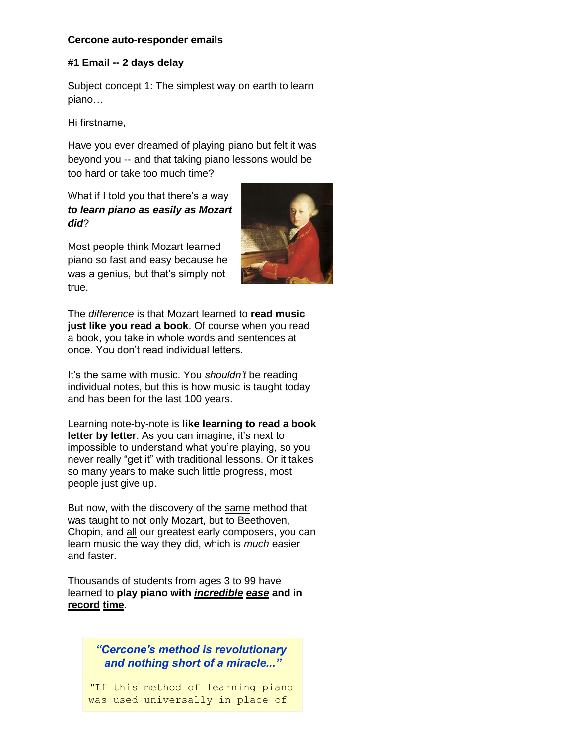### **Cercone auto-responder emails**

### **#1 Email -- 2 days delay**

Subject concept 1: The simplest way on earth to learn piano…

Hi firstname,

Have you ever dreamed of playing piano but felt it was beyond you -- and that taking piano lessons would be too hard or take too much time?

What if I told you that there's a way *to learn piano as easily as Mozart did*?

Most people think Mozart learned piano so fast and easy because he was a genius, but that's simply not true.



The *difference* is that Mozart learned to **read music just like you read a book**. Of course when you read a book, you take in whole words and sentences at once. You don't read individual letters.

It's the same with music. You *shouldn't* be reading individual notes, but this is how music is taught today and has been for the last 100 years.

Learning note-by-note is **like learning to read a book**  letter by letter. As you can imagine, it's next to impossible to understand what you're playing, so you never really "get it" with traditional lessons. Or it takes so many years to make such little progress, most people just give up.

But now, with the discovery of the same method that was taught to not only Mozart, but to Beethoven, Chopin, and all our greatest early composers, you can learn music the way they did, which is *much* easier and faster.

Thousands of students from ages 3 to 99 have learned to **play piano with** *incredible ease* **and in record time**.

> *"Cercone's method is revolutionary and nothing short of a miracle..."*

*"*If this method of learning piano was used universally in place of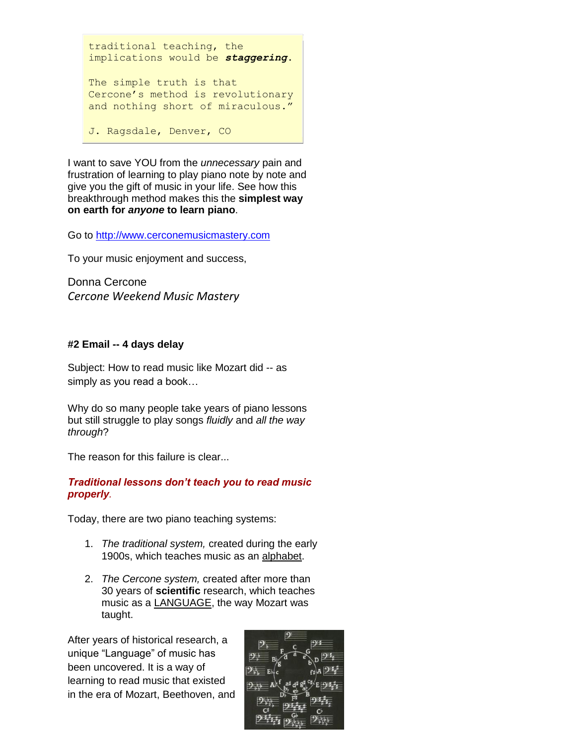traditional teaching, the implications would be *staggering*. The simple truth is that Cercone's method is revolutionary and nothing short of miraculous."

J. Ragsdale, Denver, CO

I want to save YOU from the *unnecessary* pain and frustration of learning to play piano note by note and give you the gift of music in your life. See how this breakthrough method makes this the **simplest way on earth for** *anyone* **to learn piano**.

Go to [http://www.cerconemusicmastery.com](http://www.cerconemusicmastery.com/)

To your music enjoyment and success,

Donna Cercone *Cercone Weekend Music Mastery*

# **#2 Email -- 4 days delay**

Subject: How to read music like Mozart did -- as simply as you read a book…

Why do so many people take years of piano lessons but still struggle to play songs *fluidly* and *all the way through*?

The reason for this failure is clear...

# *Traditional lessons don't teach you to read music properly.*

Today, there are two piano teaching systems:

- 1. *The traditional system,* created during the early 1900s, which teaches music as an alphabet.
- 2. *The Cercone system,* created after more than 30 years of **scientific** research, which teaches music as a **LANGUAGE**, the way Mozart was taught.

After years of historical research, a unique "Language" of music has been uncovered. It is a way of learning to read music that existed in the era of Mozart, Beethoven, and

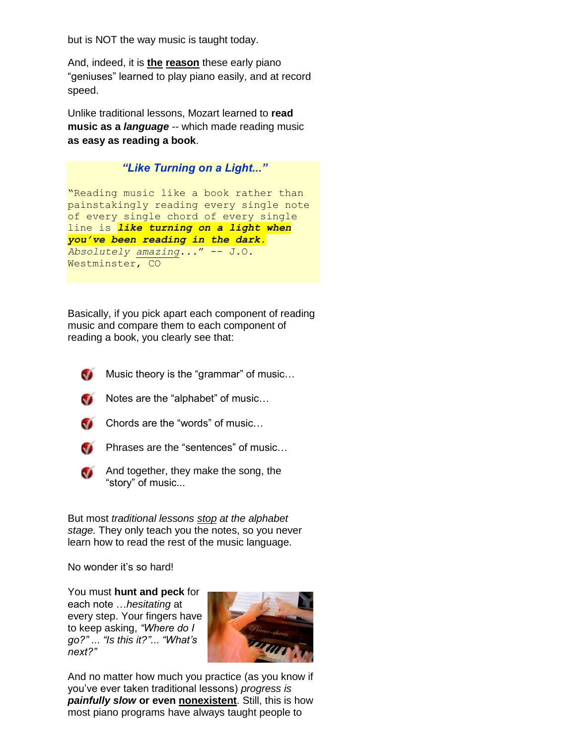but is NOT the way music is taught today.

And, indeed, it is **the reason** these early piano "geniuses" learned to play piano easily, and at record speed.

Unlike traditional lessons, Mozart learned to **read music as a** *language --* which made reading music **as easy as reading a book**.

# *"Like Turning on a Light..."*

"Reading music like a book rather than painstakingly reading every single note of every single chord of every single line is *like turning on a light when you've been reading in the dark***.** *Absolutely amazing...*" -- J.O. Westminster, CO

Basically, if you pick apart each component of reading music and compare them to each component of reading a book, you clearly see that:

Music theory is the "grammar" of music…



 $\bullet$  Notes are the "alphabet" of music...



Chords are the "words" of music…



**Phrases are the "sentences" of music...** 



And together, they make the song, the "story" of music...

But most *traditional lessons stop at the alphabet stage.* They only teach you the notes, so you never learn how to read the rest of the music language.

No wonder it's so hard!

You must **hunt and peck** for each note …*hesitating* at every step. Your fingers have to keep asking, *"Where do I go?"* ... *"Is this it?"*... *"What's next?"*



And no matter how much you practice (as you know if you've ever taken traditional lessons) *progress is painfully slow* **or even nonexistent**. Still, this is how most piano programs have always taught people to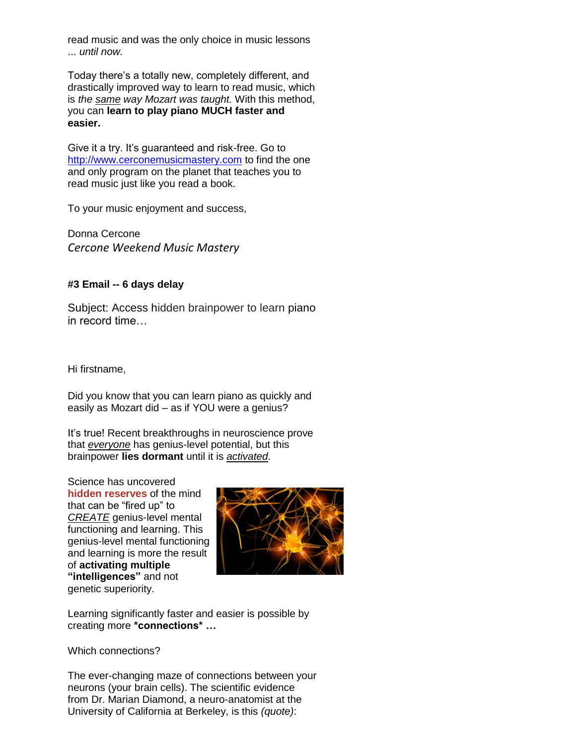read music and was the only choice in music lessons ... *until now.*

Today there's a totally new, completely different, and drastically improved way to learn to read music, which is *the same way Mozart was taught.* With this method, you can **learn to play piano MUCH faster and easier.**

Give it a try. It's guaranteed and risk-free. Go to [http://www.cerconemusicmastery.com](http://www.cerconemusicmastery.com/) to find the one and only program on the planet that teaches you to read music just like you read a book.

To your music enjoyment and success,

Donna Cercone *Cercone Weekend Music Mastery*

# **#3 Email -- 6 days delay**

Subject: Access hidden brainpower to learn piano in record time…

Hi firstname,

Did you know that you can learn piano as quickly and easily as Mozart did – as if YOU were a genius?

It's true! Recent breakthroughs in neuroscience prove that *everyone* has genius-level potential, but this brainpower **lies dormant** until it is *activated*.

Science has uncovered **hidden reserves** of the mind that can be "fired up" to *CREATE* genius-level mental functioning and learning. This genius-level mental functioning and learning is more the result of **activating multiple "intelligences"** and not genetic superiority.



Learning significantly faster and easier is possible by creating more **\*connections\* …**

Which connections?

The ever-changing maze of connections between your neurons (your brain cells). The scientific evidence from Dr. Marian Diamond, a neuro-anatomist at the University of California at Berkeley, is this *(quote)*: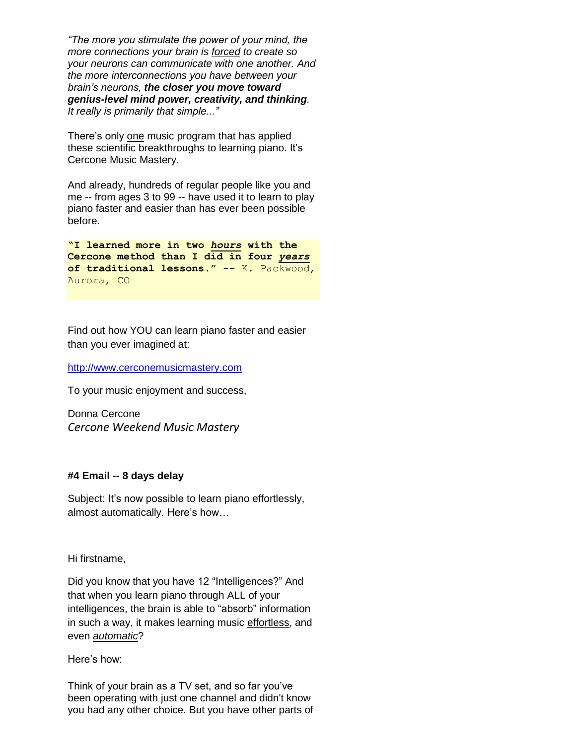*"The more you stimulate the power of your mind, the more connections your brain is forced to create so your neurons can communicate with one another. And the more interconnections you have between your brain's neurons, the closer you move toward genius-level mind power, creativity, and thinking. It really is primarily that simple..."*

There's only one music program that has applied these scientific breakthroughs to learning piano. It's Cercone Music Mastery.

And already, hundreds of regular people like you and me -- from ages 3 to 99 -- have used it to learn to play piano faster and easier than has ever been possible before.

**"I learned more in two** *hours* **with the Cercone method than I did in four** *years* **of traditional lessons." --** K. Packwood, Aurora, CO

Find out how YOU can learn piano faster and easier than you ever imagined at:

#### [http://www.cerconemusicmastery.com](http://www.cerconemusicmastery.com/)

To your music enjoyment and success,

Donna Cercone *Cercone Weekend Music Mastery*

### **#4 Email -- 8 days delay**

Subject: It's now possible to learn piano effortlessly, almost automatically. Here's how…

Hi firstname,

Did you know that you have 12 "Intelligences?" And that when you learn piano through ALL of your intelligences, the brain is able to "absorb" information in such a way, it makes learning music effortless, and even *automatic*?

Here's how:

Think of your brain as a TV set, and so far you've been operating with just one channel and didn't know you had any other choice. But you have other parts of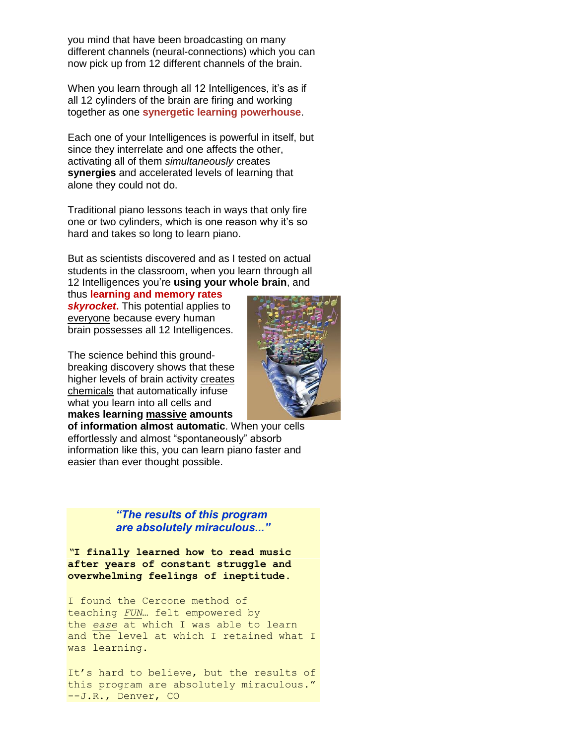you mind that have been broadcasting on many different channels (neural-connections) which you can now pick up from 12 different channels of the brain.

When you learn through all 12 Intelligences, it's as if all 12 cylinders of the brain are firing and working together as one **synergetic learning powerhouse**.

Each one of your Intelligences is powerful in itself, but since they interrelate and one affects the other, activating all of them *simultaneously* creates **synergies** and accelerated levels of learning that alone they could not do.

Traditional piano lessons teach in ways that only fire one or two cylinders, which is one reason why it's so hard and takes so long to learn piano.

But as scientists discovered and as I tested on actual students in the classroom, when you learn through all 12 Intelligences you're **using your whole brain**, and

thus **learning and memory rates skyrocket.** This potential applies to everyone because every human brain possesses all 12 Intelligences.

The science behind this groundbreaking discovery shows that these higher levels of brain activity creates chemicals that automatically infuse what you learn into all cells and **makes learning massive amounts** 



**of information almost automatic**. When your cells effortlessly and almost "spontaneously" absorb information like this, you can learn piano faster and easier than ever thought possible.

# *"The results of this program are absolutely miraculous..."*

*"***I finally learned how to read music after years of constant struggle and overwhelming feelings of ineptitude.**

I found the Cercone method of teaching *FUN*… felt empowered by the *ease* at which I was able to learn and the level at which I retained what I was learning.

It's hard to believe, but the results of this program are absolutely miraculous." --J.R., Denver, CO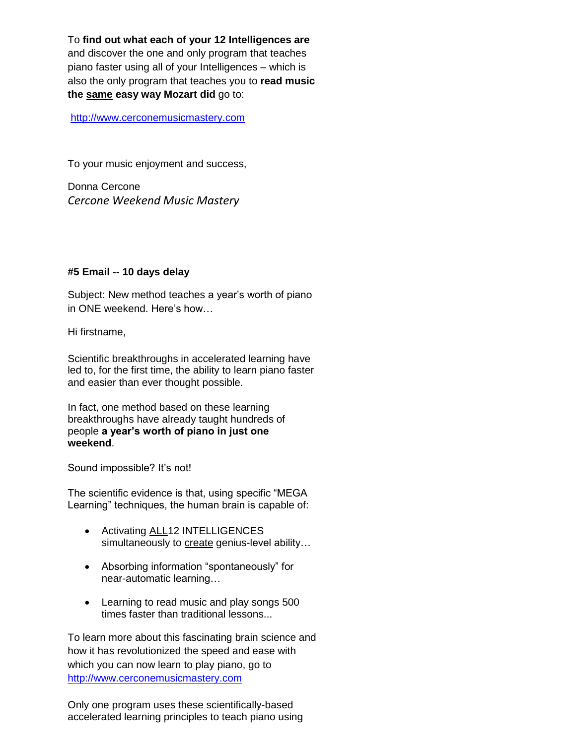To **find out what each of your 12 Intelligences are** and discover the one and only program that teaches piano faster using all of your Intelligences – which is also the only program that teaches you to **read music the same easy way Mozart did** go to:

[http://www.cerconemusicmastery.com](http://www.cerconemusicmastery.com/)

To your music enjoyment and success,

Donna Cercone *Cercone Weekend Music Mastery*

# **#5 Email -- 10 days delay**

Subject: New method teaches a year's worth of piano in ONE weekend. Here's how…

Hi firstname,

Scientific breakthroughs in accelerated learning have led to, for the first time, the ability to learn piano faster and easier than ever thought possible.

In fact, one method based on these learning breakthroughs have already taught hundreds of people **a year's worth of piano in just one weekend**.

Sound impossible? It's not!

The scientific evidence is that, using specific "MEGA Learning" techniques, the human brain is capable of:

- Activating ALL12 INTELLIGENCES simultaneously to create genius-level ability...
- Absorbing information "spontaneously" for near-automatic learning…
- Learning to read music and play songs 500 times faster than traditional lessons...

To learn more about this fascinating brain science and how it has revolutionized the speed and ease with which you can now learn to play piano, go to [http://www.cerconemusicmastery.com](http://www.cerconemusicmastery.com/)

Only one program uses these scientifically-based accelerated learning principles to teach piano using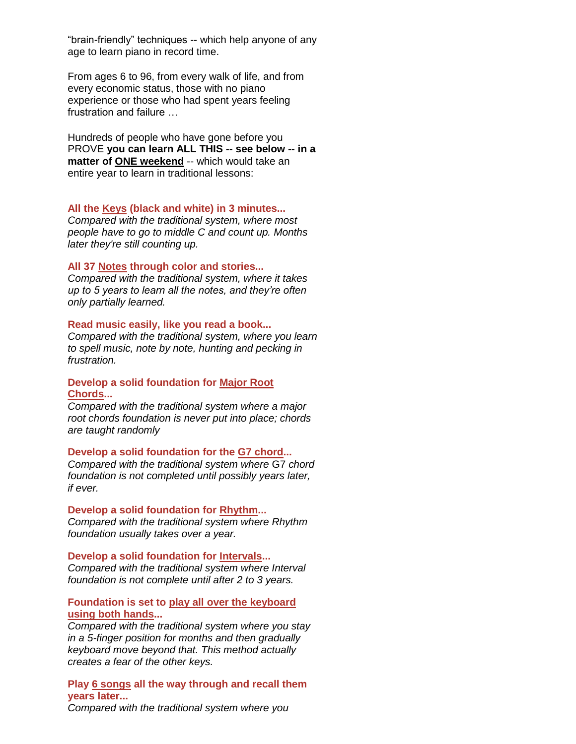"brain-friendly" techniques -- which help anyone of any age to learn piano in record time.

From ages 6 to 96, from every walk of life, and from every economic status, those with no piano experience or those who had spent years feeling frustration and failure …

Hundreds of people who have gone before you PROVE **you can learn ALL THIS -- see below -- in a matter of ONE weekend** -- which would take an entire year to learn in traditional lessons:

#### **All the Keys (black and white) in 3 minutes...**

*Compared with the traditional system, where most people have to go to middle C and count up. Months later they're still counting up.*

### **All 37 Notes through color and stories...**

*Compared with the traditional system, where it takes up to 5 years to learn all the notes, and they're often only partially learned.*

#### **Read music easily, like you read a book...**

*Compared with the traditional system, where you learn to spell music, note by note, hunting and pecking in frustration.*

### **Develop a solid foundation for Major Root Chords...**

*Compared with the traditional system where a major root chords foundation is never put into place; chords are taught randomly*

**Develop a solid foundation for the G7 chord...** *Compared with the traditional system where* G7 *chord foundation is not completed until possibly years later, if ever.*

**Develop a solid foundation for Rhythm...** *Compared with the traditional system where Rhythm* 

*foundation usually takes over a year.*

#### **Develop a solid foundation for Intervals...**

*Compared with the traditional system where Interval foundation is not complete until after 2 to 3 years.*

### **Foundation is set to play all over the keyboard using both hands...**

*Compared with the traditional system where you stay in a 5-finger position for months and then gradually keyboard move beyond that. This method actually creates a fear of the other keys.*

### **Play 6 songs all the way through and recall them years later...**

*Compared with the traditional system where you*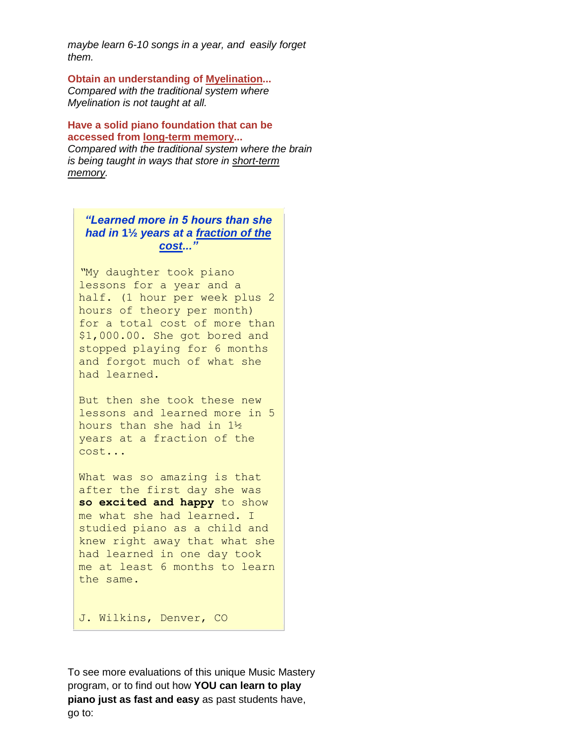*maybe learn 6-10 songs in a year, and easily forget them.*

**Obtain an understanding of Myelination...** *Compared with the traditional system where Myelination is not taught at all.*

**Have a solid piano foundation that can be accessed from long-term memory...** *Compared with the traditional system where the brain is being taught in ways that store in short-term memory.*

*"Learned more in 5 hours than she had in* **1½** *years at a fraction of the cost..."*

*"*My daughter took piano lessons for a year and a half. (1 hour per week plus 2 hours of theory per month) for a total cost of more than \$1,000.00. She got bored and stopped playing for 6 months and forgot much of what she had learned.

But then she took these new lessons and learned more in 5 hours than she had in 1½ years at a fraction of the cost...

What was so amazing is that after the first day she was **so excited and happy** to show me what she had learned. I studied piano as a child and knew right away that what she had learned in one day took me at least 6 months to learn the same.

J. Wilkins, Denver, CO

To see more evaluations of this unique Music Mastery program, or to find out how **YOU can learn to play piano just as fast and easy** as past students have, go to: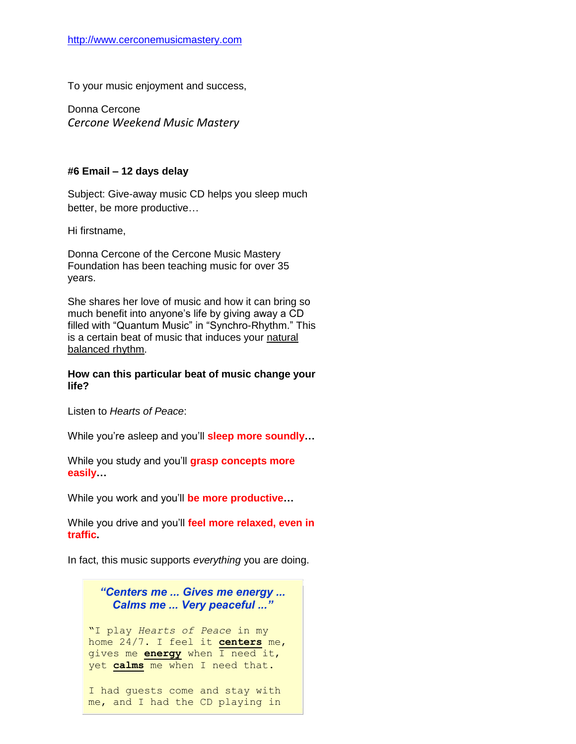To your music enjoyment and success,

Donna Cercone *Cercone Weekend Music Mastery*

### **#6 Email – 12 days delay**

Subject: Give-away music CD helps you sleep much better, be more productive…

Hi firstname,

Donna Cercone of the Cercone Music Mastery Foundation has been teaching music for over 35 years.

She shares her love of music and how it can bring so much benefit into anyone's life by giving away a CD filled with "Quantum Music" in "Synchro-Rhythm." This is a certain beat of music that induces your natural balanced rhythm.

### **How can this particular beat of music change your life?**

Listen to *Hearts of Peace*:

While you're asleep and you'll **sleep more soundly…**

While you study and you'll **grasp concepts more easily…**

While you work and you'll **be more productive…**

While you drive and you'll **feel more relaxed, even in traffic.** 

In fact, this music supports *everything* you are doing.

*"Centers me ... Gives me energy ... Calms me ... Very peaceful ..."*

"I play *Hearts of Peace* in my home 24/7. I feel it **centers** me, gives me **energy** when I need it, yet **calms** me when I need that.

I had guests come and stay with me, and I had the CD playing in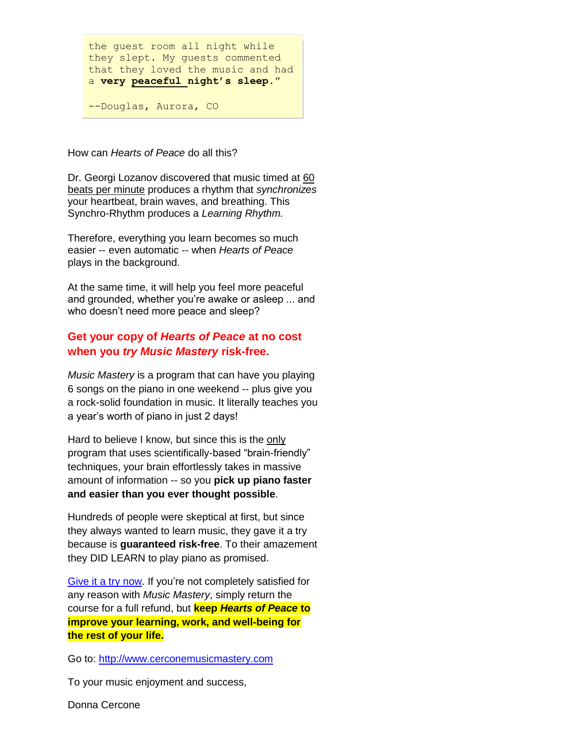the guest room all night while they slept. My guests commented that they loved the music and had a **very peaceful night's sleep**."

--Douglas, Aurora, CO

How can *Hearts of Peace* do all this?

Dr. Georgi Lozanov discovered that music timed at 60 beats per minute produces a rhythm that *synchronizes* your heartbeat, brain waves, and breathing. This Synchro-Rhythm produces a *Learning Rhythm.*

Therefore, everything you learn becomes so much easier -- even automatic -- when *Hearts of Peace* plays in the background.

At the same time, it will help you feel more peaceful and grounded, whether you're awake or asleep ... and who doesn't need more peace and sleep?

# **Get your copy of** *Hearts of Peace* **at no cost when you** *try Music Mastery* **risk-free.**

*Music Mastery* is a program that can have you playing 6 songs on the piano in one weekend -- plus give you a rock-solid foundation in music. It literally teaches you a year's worth of piano in just 2 days!

Hard to believe I know, but since this is the only program that uses scientifically-based "brain-friendly" techniques, your brain effortlessly takes in massive amount of information -- so you **pick up piano faster and easier than you ever thought possible**.

Hundreds of people were skeptical at first, but since they always wanted to learn music, they gave it a try because is **guaranteed risk-free**. To their amazement they DID LEARN to play piano as promised.

[Give it a try now.](http://www.cerconemusicmastery.com/) If you're not completely satisfied for any reason with *Music Mastery*, simply return the course for a full refund, but **keep** *Hearts of Peace* **to improve your learning, work, and well-being for the rest of your life.**

Go to: [http://www.cerconemusicmastery.com](http://www.cerconemusicmastery.com/)

To your music enjoyment and success,

Donna Cercone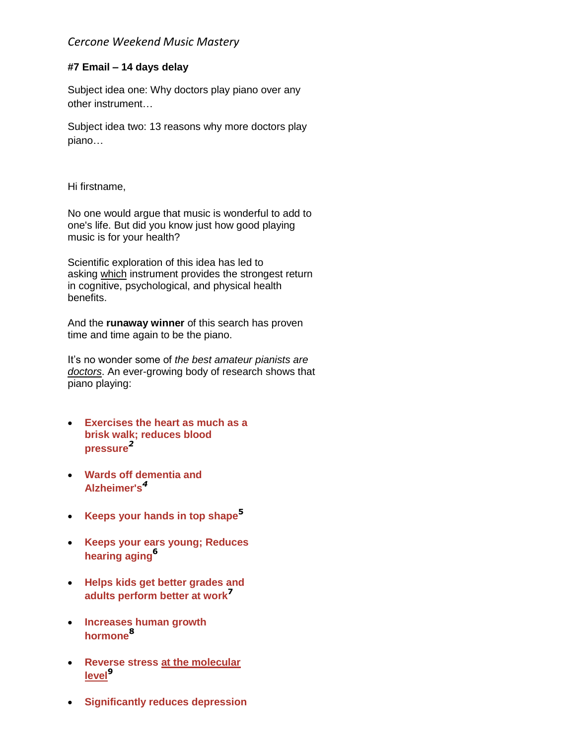# *Cercone Weekend Music Mastery*

# **#7 Email – 14 days delay**

Subject idea one: Why doctors play piano over any other instrument…

Subject idea two: 13 reasons why more doctors play piano…

Hi firstname,

No one would argue that music is wonderful to add to one's life. But did you know just how good playing music is for your health?

Scientific exploration of this idea has led to asking which instrument provides the strongest return in cognitive, psychological, and physical health benefits.

And the **runaway winner** of this search has proven time and time again to be the piano.

It's no wonder some of *the best amateur pianists are doctors*. An ever-growing body of research shows that piano playing:

- **Exercises the heart as much as a brisk walk; reduces blood pressure***<sup>2</sup>*
- **Wards off dementia and Alzheimer's***<sup>4</sup>*
- **Keeps your hands in top shape<sup>5</sup>**
- **Keeps your ears young; Reduces hearing aging<sup>6</sup>**
- **Helps kids get better grades and adults perform better at work<sup>7</sup>**
- **Increases human growth hormone<sup>8</sup>**
- **Reverse stress at the molecular level<sup>9</sup>**
- **Significantly reduces depression**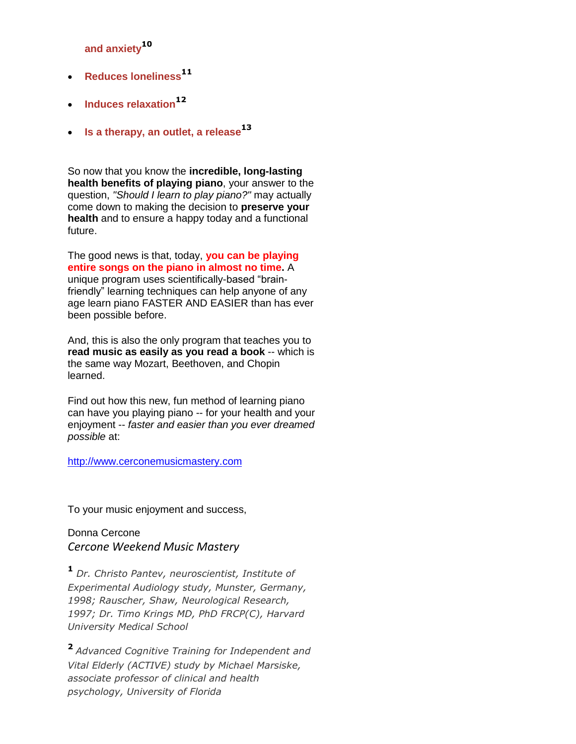**and anxiety<sup>10</sup>**

- **Reduces loneliness<sup>11</sup>**
- **Induces relaxation<sup>12</sup>**
- **Is a therapy, an outlet, a release<sup>13</sup>**

So now that you know the **incredible, long-lasting health benefits of playing piano**, your answer to the question, *"Should I learn to play piano?"* may actually come down to making the decision to **preserve your health** and to ensure a happy today and a functional future.

The good news is that, today, **you can be playing entire songs on the piano in almost no time.** A unique program uses scientifically-based "brainfriendly" learning techniques can help anyone of any age learn piano FASTER AND EASIER than has ever been possible before.

And, this is also the only program that teaches you to **read music as easily as you read a book** -- which is the same way Mozart, Beethoven, and Chopin learned.

Find out how this new, fun method of learning piano can have you playing piano -- for your health and your enjoyment -- *faster and easier than you ever dreamed possible* at:

# [http://www.cerconemusicmastery.com](http://www.cerconemusicmastery.com/)

To your music enjoyment and success,

Donna Cercone *Cercone Weekend Music Mastery*

**<sup>1</sup>** *Dr. Christo Pantev, neuroscientist, Institute of Experimental Audiology study, Munster, Germany, 1998; Rauscher, Shaw, Neurological Research, 1997; Dr. Timo Krings MD, PhD FRCP(C), Harvard University Medical School*

**<sup>2</sup>***Advanced Cognitive Training for Independent and Vital Elderly (ACTIVE) study by Michael Marsiske, associate professor of clinical and health psychology, University of Florida*